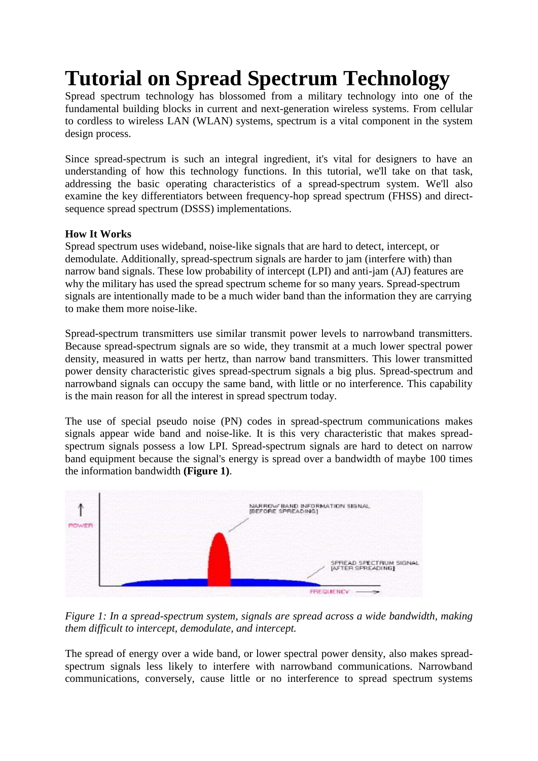# **Tutorial on Spread Spectrum Technology**

Spread spectrum technology has blossomed from a military technology into one of the fundamental building blocks in current and next-generation wireless systems. From cellular to cordless to wireless LAN (WLAN) systems, spectrum is a vital component in the system design process.

Since spread-spectrum is such an integral ingredient, it's vital for designers to have an understanding of how this technology functions. In this tutorial, we'll take on that task, addressing the basic operating characteristics of a spread-spectrum system. We'll also examine the key differentiators between frequency-hop spread spectrum (FHSS) and directsequence spread spectrum (DSSS) implementations.

# **How It Works**

Spread spectrum uses wideband, noise-like signals that are hard to detect, intercept, or demodulate. Additionally, spread-spectrum signals are harder to jam (interfere with) than narrow band signals. These low probability of intercept (LPI) and anti-jam (AJ) features are why the military has used the spread spectrum scheme for so many years. Spread-spectrum signals are intentionally made to be a much wider band than the information they are carrying to make them more noise-like.

Spread-spectrum transmitters use similar transmit power levels to narrowband transmitters. Because spread-spectrum signals are so wide, they transmit at a much lower spectral power density, measured in watts per hertz, than narrow band transmitters. This lower transmitted power density characteristic gives spread-spectrum signals a big plus. Spread-spectrum and narrowband signals can occupy the same band, with little or no interference. This capability is the main reason for all the interest in spread spectrum today.

The use of special pseudo noise (PN) codes in spread-spectrum communications makes signals appear wide band and noise-like. It is this very characteristic that makes spreadspectrum signals possess a low LPI. Spread-spectrum signals are hard to detect on narrow band equipment because the signal's energy is spread over a bandwidth of maybe 100 times the information bandwidth **(Figure 1)**.



*Figure 1: In a spread-spectrum system, signals are spread across a wide bandwidth, making them difficult to intercept, demodulate, and intercept.*

The spread of energy over a wide band, or lower spectral power density, also makes spreadspectrum signals less likely to interfere with narrowband communications. Narrowband communications, conversely, cause little or no interference to spread spectrum systems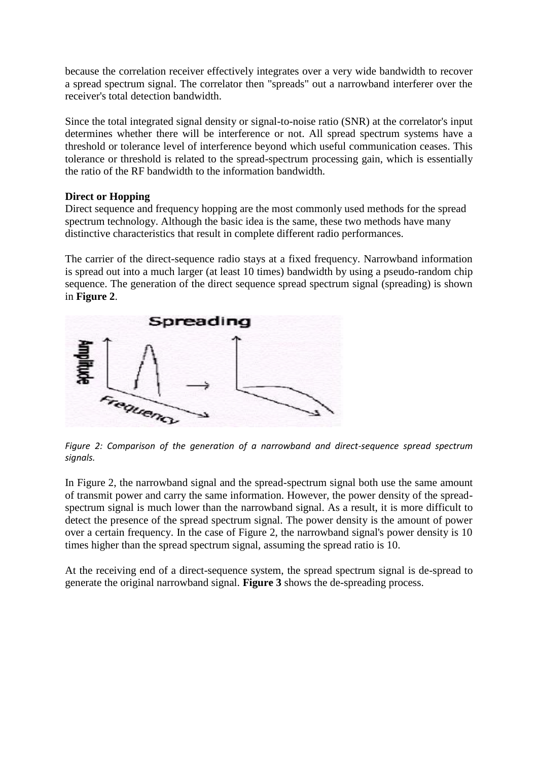because the correlation receiver effectively integrates over a very wide bandwidth to recover a spread spectrum signal. The correlator then "spreads" out a narrowband interferer over the receiver's total detection bandwidth.

Since the total integrated signal density or signal-to-noise ratio (SNR) at the correlator's input determines whether there will be interference or not. All spread spectrum systems have a threshold or tolerance level of interference beyond which useful communication ceases. This tolerance or threshold is related to the spread-spectrum processing gain, which is essentially the ratio of the RF bandwidth to the information bandwidth.

## **Direct or Hopping**

Direct sequence and frequency hopping are the most commonly used methods for the spread spectrum technology. Although the basic idea is the same, these two methods have many distinctive characteristics that result in complete different radio performances.

The carrier of the direct-sequence radio stays at a fixed frequency. Narrowband information is spread out into a much larger (at least 10 times) bandwidth by using a pseudo-random chip sequence. The generation of the direct sequence spread spectrum signal (spreading) is shown in **Figure 2**.



*Figure 2: Comparison of the generation of a narrowband and direct-sequence spread spectrum signals.*

In Figure 2, the narrowband signal and the spread-spectrum signal both use the same amount of transmit power and carry the same information. However, the power density of the spreadspectrum signal is much lower than the narrowband signal. As a result, it is more difficult to detect the presence of the spread spectrum signal. The power density is the amount of power over a certain frequency. In the case of Figure 2, the narrowband signal's power density is 10 times higher than the spread spectrum signal, assuming the spread ratio is 10.

At the receiving end of a direct-sequence system, the spread spectrum signal is de-spread to generate the original narrowband signal. **Figure 3** shows the de-spreading process.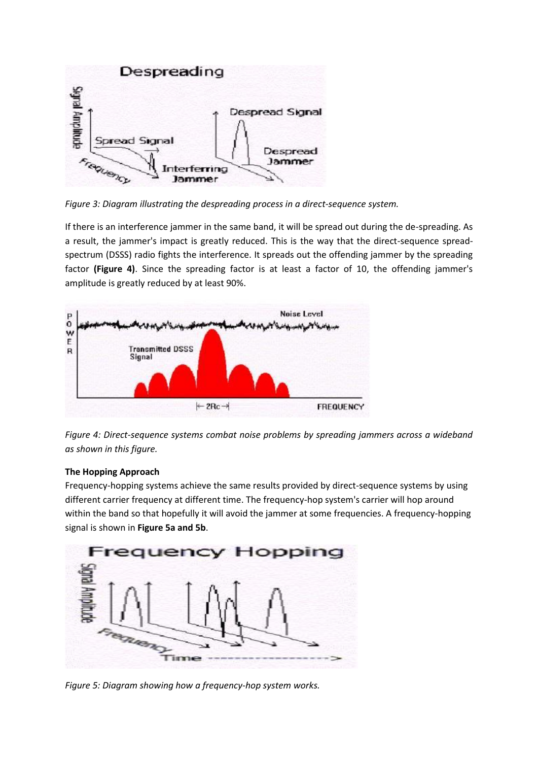

*Figure 3: Diagram illustrating the despreading process in a direct-sequence system.*

If there is an interference jammer in the same band, it will be spread out during the de-spreading. As a result, the jammer's impact is greatly reduced. This is the way that the direct-sequence spreadspectrum (DSSS) radio fights the interference. It spreads out the offending jammer by the spreading factor **(Figure 4)**. Since the spreading factor is at least a factor of 10, the offending jammer's amplitude is greatly reduced by at least 90%.



*Figure 4: Direct-sequence systems combat noise problems by spreading jammers across a wideband as shown in this figure.*

#### **The Hopping Approach**

Frequency-hopping systems achieve the same results provided by direct-sequence systems by using different carrier frequency at different time. The frequency-hop system's carrier will hop around within the band so that hopefully it will avoid the jammer at some frequencies. A frequency-hopping signal is shown in **Figure 5a and 5b**.



*Figure 5: Diagram showing how a frequency-hop system works.*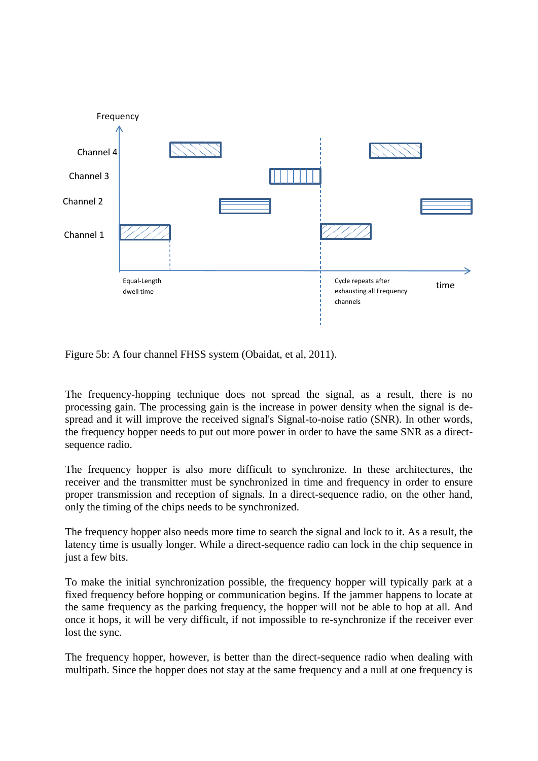

Figure 5b: A four channel FHSS system (Obaidat, et al, 2011).

The frequency-hopping technique does not spread the signal, as a result, there is no processing gain. The processing gain is the increase in power density when the signal is despread and it will improve the received signal's Signal-to-noise ratio (SNR). In other words, the frequency hopper needs to put out more power in order to have the same SNR as a directsequence radio.

The frequency hopper is also more difficult to synchronize. In these architectures, the receiver and the transmitter must be synchronized in time and frequency in order to ensure proper transmission and reception of signals. In a direct-sequence radio, on the other hand, only the timing of the chips needs to be synchronized.

The frequency hopper also needs more time to search the signal and lock to it. As a result, the latency time is usually longer. While a direct-sequence radio can lock in the chip sequence in just a few bits.

To make the initial synchronization possible, the frequency hopper will typically park at a fixed frequency before hopping or communication begins. If the jammer happens to locate at the same frequency as the parking frequency, the hopper will not be able to hop at all. And once it hops, it will be very difficult, if not impossible to re-synchronize if the receiver ever lost the sync.

The frequency hopper, however, is better than the direct-sequence radio when dealing with multipath. Since the hopper does not stay at the same frequency and a null at one frequency is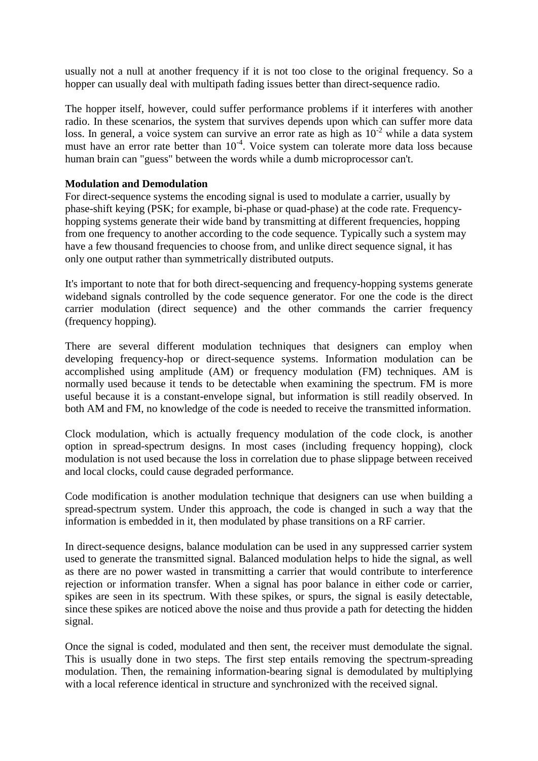usually not a null at another frequency if it is not too close to the original frequency. So a hopper can usually deal with multipath fading issues better than direct-sequence radio.

The hopper itself, however, could suffer performance problems if it interferes with another radio. In these scenarios, the system that survives depends upon which can suffer more data loss. In general, a voice system can survive an error rate as high as  $10^{-2}$  while a data system must have an error rate better than 10<sup>-4</sup>. Voice system can tolerate more data loss because human brain can "guess" between the words while a dumb microprocessor can't.

#### **Modulation and Demodulation**

For direct-sequence systems the encoding signal is used to modulate a carrier, usually by phase-shift keying (PSK; for example, bi-phase or quad-phase) at the code rate. Frequencyhopping systems generate their wide band by transmitting at different frequencies, hopping from one frequency to another according to the code sequence. Typically such a system may have a few thousand frequencies to choose from, and unlike direct sequence signal, it has only one output rather than symmetrically distributed outputs.

It's important to note that for both direct-sequencing and frequency-hopping systems generate wideband signals controlled by the code sequence generator. For one the code is the direct carrier modulation (direct sequence) and the other commands the carrier frequency (frequency hopping).

There are several different modulation techniques that designers can employ when developing frequency-hop or direct-sequence systems. Information modulation can be accomplished using amplitude (AM) or frequency modulation (FM) techniques. AM is normally used because it tends to be detectable when examining the spectrum. FM is more useful because it is a constant-envelope signal, but information is still readily observed. In both AM and FM, no knowledge of the code is needed to receive the transmitted information.

Clock modulation, which is actually frequency modulation of the code clock, is another option in spread-spectrum designs. In most cases (including frequency hopping), clock modulation is not used because the loss in correlation due to phase slippage between received and local clocks, could cause degraded performance.

Code modification is another modulation technique that designers can use when building a spread-spectrum system. Under this approach, the code is changed in such a way that the information is embedded in it, then modulated by phase transitions on a RF carrier.

In direct-sequence designs, balance modulation can be used in any suppressed carrier system used to generate the transmitted signal. Balanced modulation helps to hide the signal, as well as there are no power wasted in transmitting a carrier that would contribute to interference rejection or information transfer. When a signal has poor balance in either code or carrier, spikes are seen in its spectrum. With these spikes, or spurs, the signal is easily detectable, since these spikes are noticed above the noise and thus provide a path for detecting the hidden signal.

Once the signal is coded, modulated and then sent, the receiver must demodulate the signal. This is usually done in two steps. The first step entails removing the spectrum-spreading modulation. Then, the remaining information-bearing signal is demodulated by multiplying with a local reference identical in structure and synchronized with the received signal.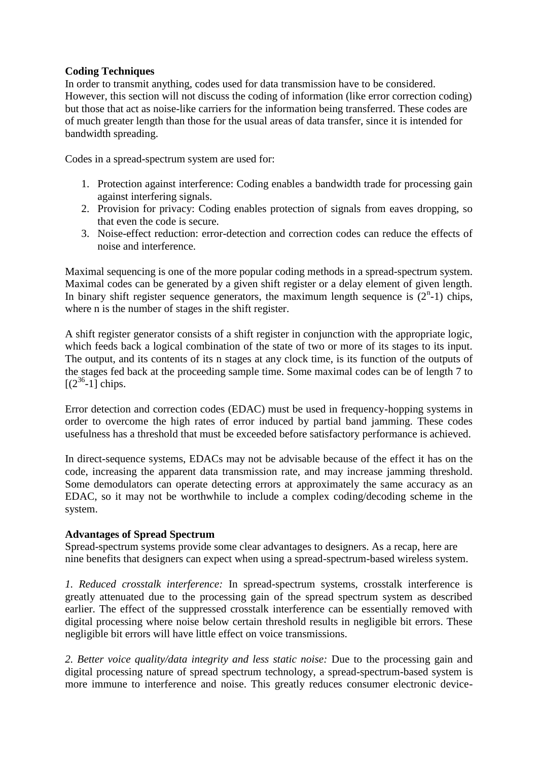#### **Coding Techniques**

In order to transmit anything, codes used for data transmission have to be considered. However, this section will not discuss the coding of information (like error correction coding) but those that act as noise-like carriers for the information being transferred. These codes are of much greater length than those for the usual areas of data transfer, since it is intended for bandwidth spreading.

Codes in a spread-spectrum system are used for:

- 1. Protection against interference: Coding enables a bandwidth trade for processing gain against interfering signals.
- 2. Provision for privacy: Coding enables protection of signals from eaves dropping, so that even the code is secure.
- 3. Noise-effect reduction: error-detection and correction codes can reduce the effects of noise and interference.

Maximal sequencing is one of the more popular coding methods in a spread-spectrum system. Maximal codes can be generated by a given shift register or a delay element of given length. In binary shift register sequence generators, the maximum length sequence is  $(2<sup>n</sup>-1)$  chips, where n is the number of stages in the shift register.

A shift register generator consists of a shift register in conjunction with the appropriate logic, which feeds back a logical combination of the state of two or more of its stages to its input. The output, and its contents of its n stages at any clock time, is its function of the outputs of the stages fed back at the proceeding sample time. Some maximal codes can be of length 7 to  $[(2^{36}-1)]$  chips.

Error detection and correction codes (EDAC) must be used in frequency-hopping systems in order to overcome the high rates of error induced by partial band jamming. These codes usefulness has a threshold that must be exceeded before satisfactory performance is achieved.

In direct-sequence systems, EDACs may not be advisable because of the effect it has on the code, increasing the apparent data transmission rate, and may increase jamming threshold. Some demodulators can operate detecting errors at approximately the same accuracy as an EDAC, so it may not be worthwhile to include a complex coding/decoding scheme in the system.

## **Advantages of Spread Spectrum**

Spread-spectrum systems provide some clear advantages to designers. As a recap, here are nine benefits that designers can expect when using a spread-spectrum-based wireless system.

*1. Reduced crosstalk interference:* In spread-spectrum systems, crosstalk interference is greatly attenuated due to the processing gain of the spread spectrum system as described earlier. The effect of the suppressed crosstalk interference can be essentially removed with digital processing where noise below certain threshold results in negligible bit errors. These negligible bit errors will have little effect on voice transmissions.

*2. Better voice quality/data integrity and less static noise:* Due to the processing gain and digital processing nature of spread spectrum technology, a spread-spectrum-based system is more immune to interference and noise. This greatly reduces consumer electronic device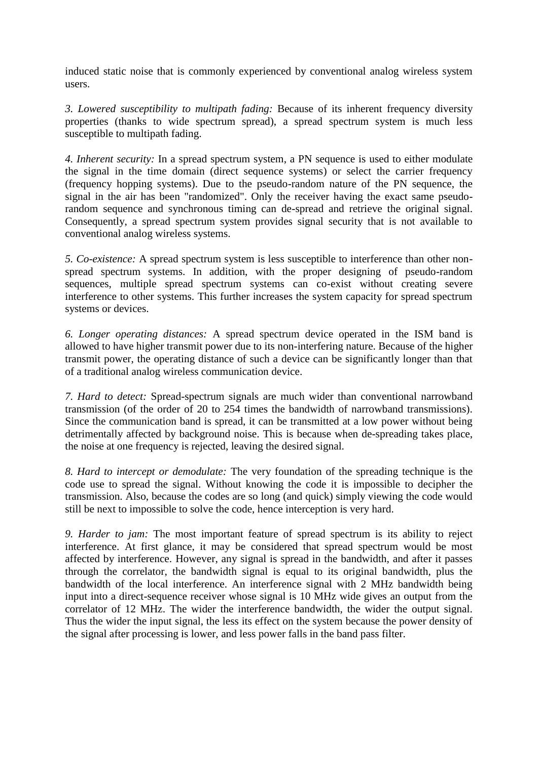induced static noise that is commonly experienced by conventional analog wireless system users.

*3. Lowered susceptibility to multipath fading:* Because of its inherent frequency diversity properties (thanks to wide spectrum spread), a spread spectrum system is much less susceptible to multipath fading.

*4. Inherent security:* In a spread spectrum system, a PN sequence is used to either modulate the signal in the time domain (direct sequence systems) or select the carrier frequency (frequency hopping systems). Due to the pseudo-random nature of the PN sequence, the signal in the air has been "randomized". Only the receiver having the exact same pseudorandom sequence and synchronous timing can de-spread and retrieve the original signal. Consequently, a spread spectrum system provides signal security that is not available to conventional analog wireless systems.

*5. Co-existence:* A spread spectrum system is less susceptible to interference than other nonspread spectrum systems. In addition, with the proper designing of pseudo-random sequences, multiple spread spectrum systems can co-exist without creating severe interference to other systems. This further increases the system capacity for spread spectrum systems or devices.

*6. Longer operating distances:* A spread spectrum device operated in the ISM band is allowed to have higher transmit power due to its non-interfering nature. Because of the higher transmit power, the operating distance of such a device can be significantly longer than that of a traditional analog wireless communication device.

*7. Hard to detect:* Spread-spectrum signals are much wider than conventional narrowband transmission (of the order of 20 to 254 times the bandwidth of narrowband transmissions). Since the communication band is spread, it can be transmitted at a low power without being detrimentally affected by background noise. This is because when de-spreading takes place, the noise at one frequency is rejected, leaving the desired signal.

*8. Hard to intercept or demodulate:* The very foundation of the spreading technique is the code use to spread the signal. Without knowing the code it is impossible to decipher the transmission. Also, because the codes are so long (and quick) simply viewing the code would still be next to impossible to solve the code, hence interception is very hard.

*9. Harder to jam:* The most important feature of spread spectrum is its ability to reject interference. At first glance, it may be considered that spread spectrum would be most affected by interference. However, any signal is spread in the bandwidth, and after it passes through the correlator, the bandwidth signal is equal to its original bandwidth, plus the bandwidth of the local interference. An interference signal with 2 MHz bandwidth being input into a direct-sequence receiver whose signal is 10 MHz wide gives an output from the correlator of 12 MHz. The wider the interference bandwidth, the wider the output signal. Thus the wider the input signal, the less its effect on the system because the power density of the signal after processing is lower, and less power falls in the band pass filter.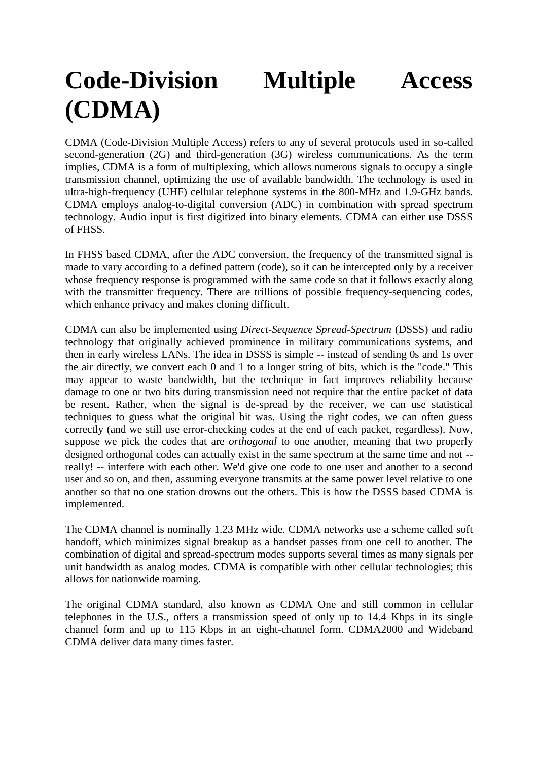# **Code-Division Multiple Access (CDMA)**

CDMA (Code-Division Multiple Access) refers to any of several protocols used in so-called second-generation (2G) and third-generation (3G) wireless communications. As the term implies, CDMA is a form of [multiplexing,](http://searchnetworking.techtarget.com/definition/multiplexing) which allows numerous signals to occupy a single transmission [channel,](http://searchdatacenter.techtarget.com/definition/channel) optimizing the use of available [bandwidth.](http://searchenterprisewan.techtarget.com/definition/bandwidth) The technology is used in ultra-high-frequency [\(UHF\)](http://searchnetworking.techtarget.com/definition/UHF) [cellular telephone](http://searchmobilecomputing.techtarget.com/definition/cellular-telephone) systems in the 800[-MHz](http://searchnetworking.techtarget.com/definition/MHz) and 1.9-GHz bands. CDMA employs analog-to-digital conversion (ADC) in combination with [spread spectrum](http://searchnetworking.techtarget.com/definition/spread-spectrum) technology. Audio input is first digitized into binary elements. CDMA can either use DSSS of FHSS.

In FHSS based CDMA, after the ADC conversion, the frequency of the transmitted signal is made to vary according to a defined pattern (code), so it can be intercepted only by a receiver whose frequency response is programmed with the same code so that it follows exactly along with the transmitter frequency. There are trillions of possible frequency-sequencing codes, which enhance privacy and makes cloning difficult.

CDMA can also be implemented using *Direct-Sequence Spread-Spectrum* (DSSS) and radio technology that originally achieved prominence in military communications systems, and then in early wireless LANs. The idea in DSSS is simple -- instead of sending 0s and 1s over the air directly, we convert each 0 and 1 to a longer string of bits, which is the "code." This may appear to waste bandwidth, but the technique in fact improves reliability because damage to one or two bits during transmission need not require that the entire packet of data be resent. Rather, when the signal is de-spread by the receiver, we can use statistical techniques to guess what the original bit was. Using the right codes, we can often guess correctly (and we still use error-checking codes at the end of each packet, regardless). Now, suppose we pick the codes that are *orthogonal* to one another, meaning that two properly designed orthogonal codes can actually exist in the same spectrum at the same time and not - really! -- interfere with each other. We'd give one code to one user and another to a second user and so on, and then, assuming everyone transmits at the same power level relative to one another so that no one station drowns out the others. This is how the DSSS based CDMA is implemented.

The CDMA channel is nominally 1.23 MHz wide. CDMA networks use a scheme called [soft](http://searchmobilecomputing.techtarget.com/definition/soft-handoff)  [handoff,](http://searchmobilecomputing.techtarget.com/definition/soft-handoff) which minimizes signal breakup as a handset passes from one cell to another. The combination of digital and spread-spectrum modes supports several times as many signals per unit bandwidth as analog modes. CDMA is compatible with other cellular technologies; this allows for nationwide roaming.

The original CDMA standard, also known as [CDMA](http://searchmobilecomputing.techtarget.com/definition/CDMA-One) One and still common in cellular telephones in the U.S., offers a transmission speed of only up to 14.4 [Kbps](http://searchnetworking.techtarget.com/definition/Kbps) in its single channel form and up to 115 Kbps in an eight-channel form. [CDMA2000](http://searchmobilecomputing.techtarget.com/definition/CDMA2000) and Wideband CDMA deliver data many times faster.